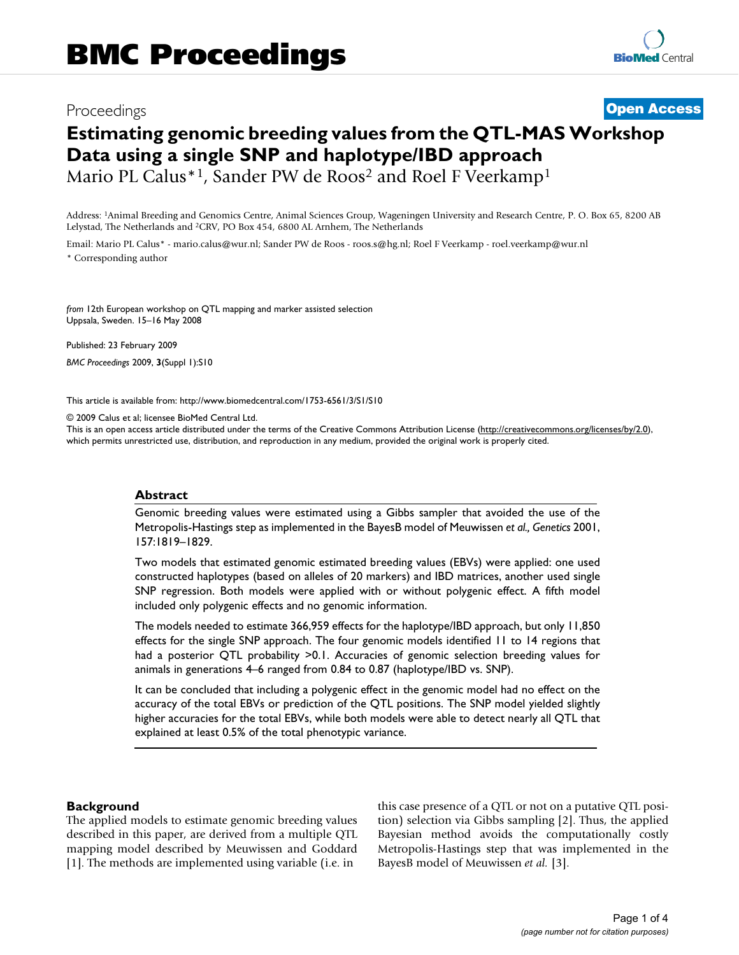# Proceedings **[Open Access](http://www.biomedcentral.com/info/about/charter/) Estimating genomic breeding values from the QTL-MAS Workshop Data using a single SNP and haplotype/IBD approach** Mario PL Calus<sup>\*1</sup>, Sander PW de Roos<sup>2</sup> and Roel F Veerkamp<sup>1</sup>

Address: 1Animal Breeding and Genomics Centre, Animal Sciences Group, Wageningen University and Research Centre, P. O. Box 65, 8200 AB Lelystad, The Netherlands and 2CRV, PO Box 454, 6800 AL Arnhem, The Netherlands

Email: Mario PL Calus\* - mario.calus@wur.nl; Sander PW de Roos - roos.s@hg.nl; Roel F Veerkamp - roel.veerkamp@wur.nl \* Corresponding author

*from* 12th European workshop on QTL mapping and marker assisted selection Uppsala, Sweden. 15–16 May 2008

Published: 23 February 2009 *BMC Proceedings* 2009, **3**(Suppl 1):S10

[This article is available from: http://www.biomedcentral.com/1753-6561/3/S1/S10](http://www.biomedcentral.com/1753-6561/3/S1/S10)

© 2009 Calus et al; licensee BioMed Central Ltd.

This is an open access article distributed under the terms of the Creative Commons Attribution License [\(http://creativecommons.org/licenses/by/2.0\)](http://creativecommons.org/licenses/by/2.0), which permits unrestricted use, distribution, and reproduction in any medium, provided the original work is properly cited.

#### **Abstract**

Genomic breeding values were estimated using a Gibbs sampler that avoided the use of the Metropolis-Hastings step as implemented in the BayesB model of Meuwissen *et al., Genetics* 2001, 157:1819–1829.

Two models that estimated genomic estimated breeding values (EBVs) were applied: one used constructed haplotypes (based on alleles of 20 markers) and IBD matrices, another used single SNP regression. Both models were applied with or without polygenic effect. A fifth model included only polygenic effects and no genomic information.

The models needed to estimate 366,959 effects for the haplotype/IBD approach, but only 11,850 effects for the single SNP approach. The four genomic models identified 11 to 14 regions that had a posterior QTL probability >0.1. Accuracies of genomic selection breeding values for animals in generations 4–6 ranged from 0.84 to 0.87 (haplotype/IBD vs. SNP).

It can be concluded that including a polygenic effect in the genomic model had no effect on the accuracy of the total EBVs or prediction of the QTL positions. The SNP model yielded slightly higher accuracies for the total EBVs, while both models were able to detect nearly all QTL that explained at least 0.5% of the total phenotypic variance.

#### **Background**

The applied models to estimate genomic breeding values described in this paper, are derived from a multiple QTL mapping model described by Meuwissen and Goddard [1]. The methods are implemented using variable (i.e. in

this case presence of a QTL or not on a putative QTL position) selection via Gibbs sampling [2]. Thus, the applied Bayesian method avoids the computationally costly Metropolis-Hastings step that was implemented in the BayesB model of Meuwissen *et al.* [3].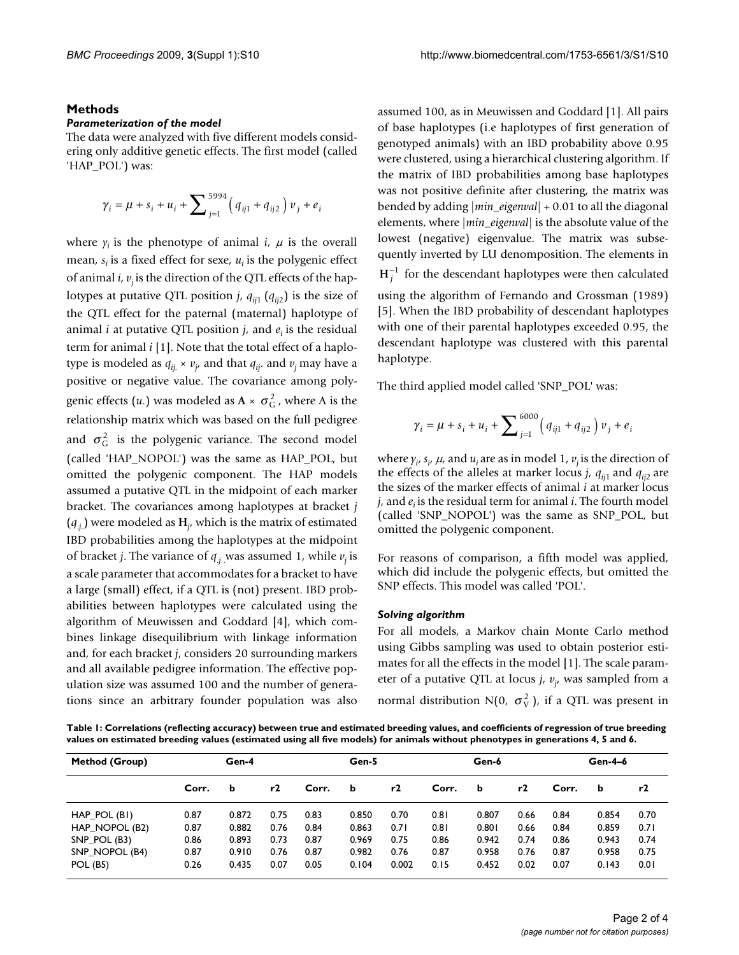#### **Methods**

#### *Parameterization of the model*

The data were analyzed with five different models considering only additive genetic effects. The first model (called 'HAP\_POL') was:

$$
\gamma_i = \mu + s_i + u_i + \sum_{j=1}^{5994} (q_{ij1} + q_{ij2}) v_j + e_i
$$

where  $y_i$  is the phenotype of animal  $i$ ,  $\mu$  is the overall mean, *s<sub>i</sub>* is a fixed effect for sexe, *u<sub>i</sub>* is the polygenic effect of animal  $i$ ,  $v_i$  is the direction of the QTL effects of the haplotypes at putative QTL position *j*,  $q_{ii1}$  ( $q_{ii2}$ ) is the size of the QTL effect for the paternal (maternal) haplotype of animal *i* at putative QTL position  $j$ , and  $e_i$  is the residual term for animal *i* [1]. Note that the total effect of a haplotype is modeled as *qij.* × *vj* , and that *qij*. and *vj* may have a positive or negative value. The covariance among polygenic effects (*u*.) was modeled as  $A \times \sigma_G^2$  , where A is the relationship matrix which was based on the full pedigree and  $\sigma_G^2$  is the polygenic variance. The second model (called 'HAP\_NOPOL') was the same as HAP\_POL, but omitted the polygenic component. The HAP models assumed a putative QTL in the midpoint of each marker bracket. The covariances among haplotypes at bracket *j*  $(q_{.j})$  were modeled as  $H_{j}$ , which is the matrix of estimated IBD probabilities among the haplotypes at the midpoint of bracket *j*. The variance of *q*.*j* . was assumed 1, while *vj* is a scale parameter that accommodates for a bracket to have a large (small) effect, if a QTL is (not) present. IBD probabilities between haplotypes were calculated using the algorithm of Meuwissen and Goddard [4], which combines linkage disequilibrium with linkage information and, for each bracket *j*, considers 20 surrounding markers and all available pedigree information. The effective population size was assumed 100 and the number of generations since an arbitrary founder population was also

assumed 100, as in Meuwissen and Goddard [1]. All pairs of base haplotypes (i.e haplotypes of first generation of genotyped animals) with an IBD probability above 0.95 were clustered, using a hierarchical clustering algorithm. If the matrix of IBD probabilities among base haplotypes was not positive definite after clustering, the matrix was bended by adding |*min\_eigenval*| + 0.01 to all the diagonal elements, where |*min\_eigenval*| is the absolute value of the lowest (negative) eigenvalue. The matrix was subsequently inverted by LU denomposition. The elements in  $H_j^{-1}$  for the descendant haplotypes were then calculated using the algorithm of Fernando and Grossman (1989) [5]. When the IBD probability of descendant haplotypes with one of their parental haplotypes exceeded 0.95, the descendant haplotype was clustered with this parental haplotype.

The third applied model called 'SNP\_POL' was:

$$
\gamma_i = \mu + s_i + u_i + \sum_{j=1}^{6000} \left( q_{ij1} + q_{ij2} \right) v_j + e_i
$$

where  $\gamma_i$ ,  $s_i$ ,  $\mu$ , and  $u_i$  are as in model 1,  $v_j$  is the direction of the effects of the alleles at marker locus *j*,  $q_{ii1}$  and  $q_{ii2}$  are the sizes of the marker effects of animal *i* at marker locus  $j<sub>i</sub>$  and  $e<sub>i</sub>$  is the residual term for animal *i*. The fourth model (called 'SNP\_NOPOL') was the same as SNP\_POL, but omitted the polygenic component.

For reasons of comparison, a fifth model was applied, which did include the polygenic effects, but omitted the SNP effects. This model was called 'POL'.

#### *Solving algorithm*

For all models, a Markov chain Monte Carlo method using Gibbs sampling was used to obtain posterior estimates for all the effects in the model [1]. The scale parameter of a putative QTL at locus *j*, *vj* , was sampled from a normal distribution N(0,  $\sigma_{\rm V}^2$ ), if a QTL was present in

**Table 1: Correlations (reflecting accuracy) between true and estimated breeding values, and coefficients of regression of true breeding values on estimated breeding values (estimated using all five models) for animals without phenotypes in generations 4, 5 and 6.**

| Method (Group)  | Gen-4 |       |      | Gen-5 |       |       | Gen-6 |       | Gen-4-6 |       |       |      |
|-----------------|-------|-------|------|-------|-------|-------|-------|-------|---------|-------|-------|------|
|                 | Corr. | b     | r2   | Corr. | b     | r2    | Corr. | b     | r2      | Corr. | b     | r2   |
| HAP POL (BI)    | 0.87  | 0.872 | 0.75 | 0.83  | 0.850 | 0.70  | 0.81  | 0.807 | 0.66    | 0.84  | 0.854 | 0.70 |
| HAP NOPOL (B2)  | 0.87  | 0.882 | 0.76 | 0.84  | 0.863 | 0.71  | 0.81  | 0.801 | 0.66    | 0.84  | 0.859 | 0.71 |
| SNP POL (B3)    | 0.86  | 0.893 | 0.73 | 0.87  | 0.969 | 0.75  | 0.86  | 0.942 | 0.74    | 0.86  | 0.943 | 0.74 |
| SNP NOPOL (B4)  | 0.87  | 0.910 | 0.76 | 0.87  | 0.982 | 0.76  | 0.87  | 0.958 | 0.76    | 0.87  | 0.958 | 0.75 |
| <b>POL (B5)</b> | 0.26  | 0.435 | 0.07 | 0.05  | 0.104 | 0.002 | 0.15  | 0.452 | 0.02    | 0.07  | 0.143 | 0.01 |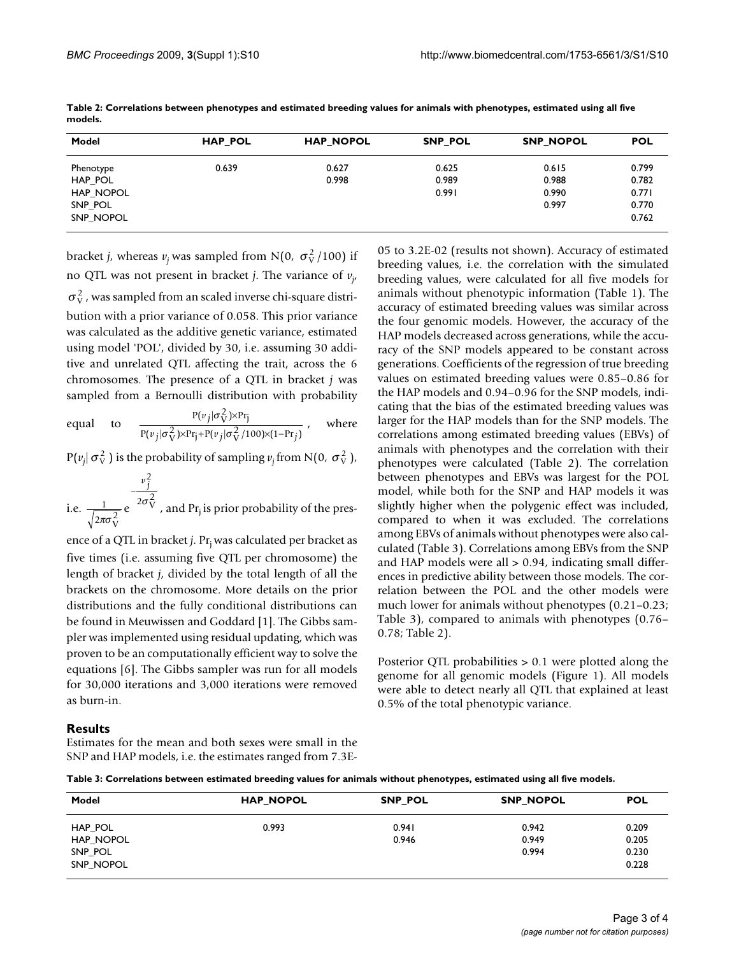| Model                                        | <b>HAP POL</b> | <b>HAP NOPOL</b> | <b>SNP POL</b>          | <b>SNP NOPOL</b>                 | <b>POL</b>                       |
|----------------------------------------------|----------------|------------------|-------------------------|----------------------------------|----------------------------------|
| Phenotype<br>HAP_POL<br>HAP NOPOL<br>SNP_POL | 0.639          | 0.627<br>0.998   | 0.625<br>0.989<br>0.991 | 0.615<br>0.988<br>0.990<br>0.997 | 0.799<br>0.782<br>0.771<br>0.770 |
| SNP NOPOL                                    |                |                  |                         |                                  | 0.762                            |

**Table 2: Correlations between phenotypes and estimated breeding values for animals with phenotypes, estimated using all five models.**

bracket *j*, whereas  $v_j$  was sampled from N(0,  $\sigma_V^2$ /100) if no QTL was not present in bracket *j*. The variance of *vj* ,

 $\sigma_{\rm V}^2$  , was sampled from an scaled inverse chi-square distribution with a prior variance of 0.058. This prior variance was calculated as the additive genetic variance, estimated using model 'POL', divided by 30, i.e. assuming 30 additive and unrelated QTL affecting the trait, across the 6 chromosomes. The presence of a QTL in bracket *j* was sampled from a Bernoulli distribution with probability

equal to 
$$
\frac{P(v_j|\sigma_V^2) \times Pr_j}{P(v_j|\sigma_V^2) \times Pr_j + P(v_j|\sigma_V^2/100) \times (1-Pr_j)}, \text{ where}
$$

 $P(v_j | \sigma_v^2)$  is the probability of sampling  $v_j$  from N(0,  $\sigma_v^2$ ),

i.e. 
$$
\frac{1}{\sqrt{2\pi\sigma_V^2}} e^{-\frac{v_j^2}{2\sigma_V^2}}
$$
, and Pr<sub>j</sub> is prior probability of the pres-

ence of a QTL in bracket *j*. Pr<sub>i</sub> was calculated per bracket as five times (i.e. assuming five QTL per chromosome) the length of bracket *j*, divided by the total length of all the brackets on the chromosome. More details on the prior distributions and the fully conditional distributions can be found in Meuwissen and Goddard [1]. The Gibbs sampler was implemented using residual updating, which was proven to be an computationally efficient way to solve the equations [6]. The Gibbs sampler was run for all models for 30,000 iterations and 3,000 iterations were removed as burn-in.

05 to 3.2E-02 (results not shown). Accuracy of estimated breeding values, i.e. the correlation with the simulated breeding values, were calculated for all five models for animals without phenotypic information (Table 1). The accuracy of estimated breeding values was similar across the four genomic models. However, the accuracy of the HAP models decreased across generations, while the accuracy of the SNP models appeared to be constant across generations. Coefficients of the regression of true breeding values on estimated breeding values were 0.85–0.86 for the HAP models and 0.94–0.96 for the SNP models, indicating that the bias of the estimated breeding values was larger for the HAP models than for the SNP models. The correlations among estimated breeding values (EBVs) of animals with phenotypes and the correlation with their phenotypes were calculated (Table 2). The correlation between phenotypes and EBVs was largest for the POL model, while both for the SNP and HAP models it was slightly higher when the polygenic effect was included, compared to when it was excluded. The correlations among EBVs of animals without phenotypes were also calculated (Table 3). Correlations among EBVs from the SNP and HAP models were all > 0.94, indicating small differences in predictive ability between those models. The correlation between the POL and the other models were much lower for animals without phenotypes (0.21–0.23; Table 3), compared to animals with phenotypes (0.76– 0.78; Table 2).

Posterior QTL probabilities > 0.1 were plotted along the genome for all genomic models (Figure 1). All models were able to detect nearly all QTL that explained at least 0.5% of the total phenotypic variance.

#### **Results**

Estimates for the mean and both sexes were small in the SNP and HAP models, i.e. the estimates ranged from 7.3E-

**Table 3: Correlations between estimated breeding values for animals without phenotypes, estimated using all five models.**

| Model     | <b>HAP NOPOL</b> | SNP_POL | <b>SNP NOPOL</b> | <b>POL</b> |  |
|-----------|------------------|---------|------------------|------------|--|
| HAP_POL   | 0.993            | 0.941   | 0.942            | 0.209      |  |
| HAP NOPOL |                  | 0.946   | 0.949            | 0.205      |  |
| SNP_POL   |                  |         | 0.994            | 0.230      |  |
| SNP NOPOL |                  |         |                  | 0.228      |  |